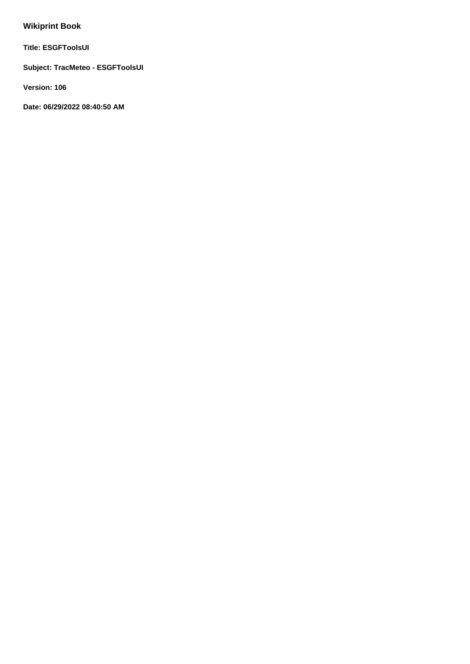# **Wikiprint Book**

**Title: ESGFToolsUI**

**Subject: TracMeteo - ESGFToolsUI**

**Version: 106**

**Date: 06/29/2022 08:40:50 AM**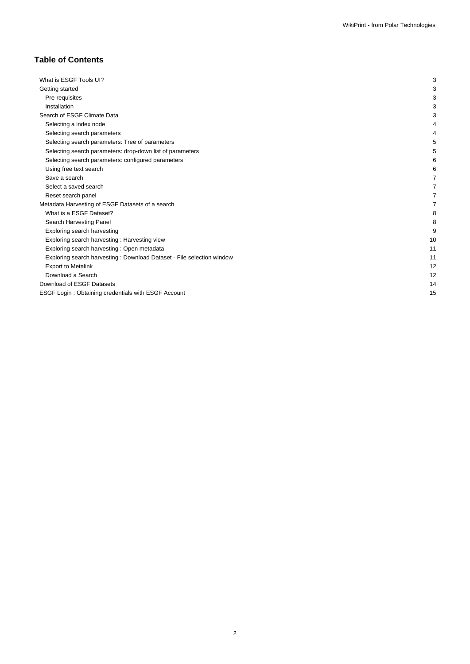# **Table of Contents**

| What is ESGF Tools UI?                                                 | 3  |
|------------------------------------------------------------------------|----|
| Getting started                                                        | 3  |
| Pre-requisites                                                         | 3  |
| Installation                                                           | 3  |
| Search of ESGF Climate Data                                            | 3  |
| Selecting a index node                                                 |    |
| Selecting search parameters                                            |    |
| Selecting search parameters: Tree of parameters                        |    |
| Selecting search parameters: drop-down list of parameters              |    |
| Selecting search parameters: configured parameters                     | 6  |
| Using free text search                                                 | 6  |
| Save a search                                                          |    |
| Select a saved search                                                  | 7  |
| Reset search panel                                                     | 7  |
| Metadata Harvesting of ESGF Datasets of a search                       | 7  |
| What is a ESGF Dataset?                                                | 8  |
| Search Harvesting Panel                                                | 8  |
| Exploring search harvesting                                            | 9  |
| Exploring search harvesting: Harvesting view                           | 10 |
| Exploring search harvesting : Open metadata                            | 11 |
| Exploring search harvesting : Download Dataset - File selection window | 11 |
| <b>Export to Metalink</b>                                              | 12 |
| Download a Search                                                      | 12 |
| Download of ESGF Datasets                                              | 14 |
| ESGF Login: Obtaining credentials with ESGF Account                    | 15 |
|                                                                        |    |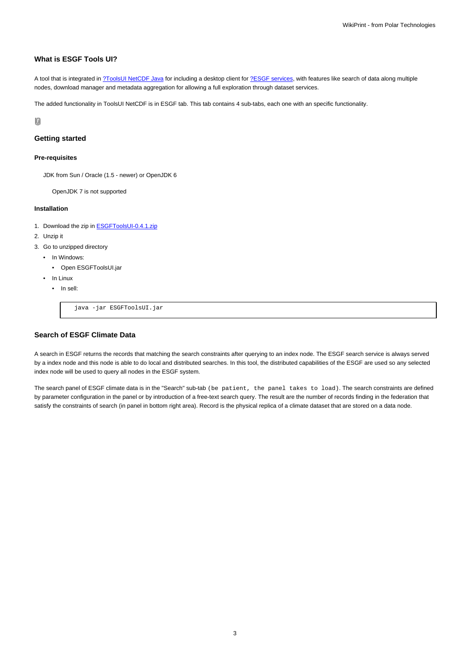# **What is ESGF Tools UI?**

A tool that is integrated in [?ToolsUI NetCDF Java](http://www.unidata.ucar.edu/downloads/netcdf/index.jsp) for including a desktop client for [?ESGF services](https://github.com/ESGF/esgf.github.io/wiki), with features like search of data along multiple nodes, download manager and metadata aggregation for allowing a full exploration through dataset services.

The added functionality in ToolsUI NetCDF is in ESGF tab. This tab contains 4 sub-tabs, each one with an specific functionality.

10

### **Getting started**

#### **Pre-requisites**

JDK from Sun / Oracle (1.5 - newer) or OpenJDK 6

OpenJDK 7 is not supported

#### **Installation**

- 1. Download the zip in **ESGFToolsUI-0.4.1.zip**
- 2. Unzip it
- 3. Go to unzipped directory
	- In Windows:
		- Open ESGFToolsUI.jar
	- In Linux
		- In sell:

java -jar ESGFToolsUI.jar

# **Search of ESGF Climate Data**

A search in ESGF returns the records that matching the search constraints after querying to an index node. The ESGF search service is always served by a index node and this node is able to do local and distributed searches. In this tool, the distributed capabilities of the ESGF are used so any selected index node will be used to query all nodes in the ESGF system.

The search panel of ESGF climate data is in the "Search" sub-tab (be patient, the panel takes to load). The search constraints are defined by parameter configuration in the panel or by introduction of a free-text search query. The result are the number of records finding in the federation that satisfy the constraints of search (in panel in bottom right area). Record is the physical replica of a climate dataset that are stored on a data node.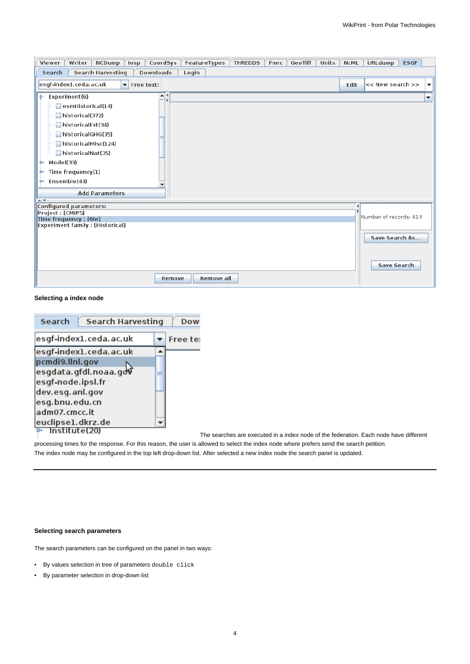| CoordSys<br>FeatureTypes<br>Writer<br><b>NCDump</b><br><b>THREDDS</b><br><b>GeoTiff</b><br><b>Units</b><br><b>Viewer</b><br>losp<br><b>Fmrc</b>                                                                                                                                              | <b>NCML</b> | <b>URLdump</b>                       | <b>ESGF</b>              |
|----------------------------------------------------------------------------------------------------------------------------------------------------------------------------------------------------------------------------------------------------------------------------------------------|-------------|--------------------------------------|--------------------------|
| <b>Search Harvesting</b><br><b>Downloads</b><br>Search<br>Login                                                                                                                                                                                                                              |             |                                      |                          |
| esgf-index1.ceda.ac.uk<br>$\blacktriangleright$ Free text:                                                                                                                                                                                                                                   | Edit        | << New search >>                     | $\overline{\phantom{a}}$ |
| $\blacktriangle$   9<br>Experiment(6)<br>ò.<br>esmHistorical(14)<br>historical(372)<br>historicalExt(34)<br>historicalGHG(35)<br>historicalMisc(124)<br>historicalNat(35)<br>Model(33)<br>۰<br>Time frequency(1)<br>۰<br>Ensemble(43)<br>۰<br>٠<br><b>Add Parameters</b><br>$\blacktriangle$ |             |                                      | ▼                        |
| Configured parameters:                                                                                                                                                                                                                                                                       |             |                                      |                          |
| Project : [CMIP5]<br>Time frequency : [6hr]                                                                                                                                                                                                                                                  |             | Number of records: 614               |                          |
| <b>Experiment family : [Historical]</b>                                                                                                                                                                                                                                                      |             | Save Search As<br><b>Save Search</b> |                          |
| <b>Remove all</b><br>Remove                                                                                                                                                                                                                                                                  |             |                                      |                          |

# **Selecting a index node**

| <b>Search</b>     | <b>Search Harvesting</b> | Dow      |
|-------------------|--------------------------|----------|
|                   | esgf-index1.ceda.ac.uk   | Free te: |
|                   | esgf-index1.ceda.ac.uk   |          |
| pcmdi9.llnl.gov   |                          |          |
|                   | esgdata.gfdl.noaa.gov    |          |
| esgf-node.ipsl.fr |                          |          |
| dev.esg.anl.gov   |                          |          |
| esg.bnu.edu.cn    |                          |          |
| adm07.cmcc.it     |                          |          |
| euclipse1.dkrz.de |                          |          |
| Institute(20)     |                          |          |

The searches are executed in a index node of the federation. Each node have different

processing times for the response. For this reason, the user is allowed to select the index node where prefers send the search petition. The index node may be configured in the top left drop-down list. After selected a new index node the search panel is updated.

# **Selecting search parameters**

The search parameters can be configured on the panel in two ways:

- By values selection in tree of parameters double click
- By parameter selection in drop-down list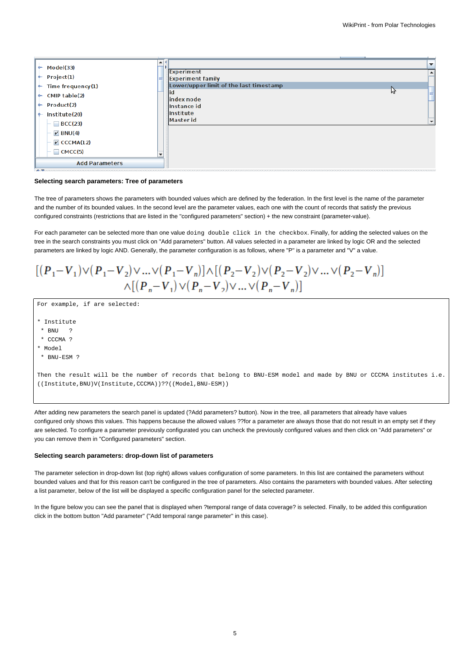

#### **Selecting search parameters: Tree of parameters**

The tree of parameters shows the parameters with bounded values which are defined by the federation. In the first level is the name of the parameter and the number of its bounded values. In the second level are the parameter values, each one with the count of records that satisfy the previous configured constraints (restrictions that are listed in the "configured parameters" section) + the new constraint (parameter-value).

For each parameter can be selected more than one value doing double click in the checkbox. Finally, for adding the selected values on the tree in the search constraints you must click on "Add parameters" button. All values selected in a parameter are linked by logic OR and the selected parameters are linked by logic AND. Generally, the parameter configuration is as follows, where "P" is a parameter and "V" a value.

$$
\begin{array}{c} [(P_1 - V_1) \vee (P_1 - V_2) \vee ... \vee (P_1 - V_n)] \wedge [(P_2 - V_2) \vee (P_2 - V_2) \vee ... \vee (P_2 - V_n)] \\ \wedge [(P_n - V_1) \vee (P_n - V_2) \vee ... \vee (P_n - V_n)] \end{array}
$$

For example, if are selected:

- \* Institute
- \* BNU ?
- \* CCCMA ?
- \* Model
- \* BNU-ESM ?

Then the result will be the number of records that belong to BNU-ESM model and made by BNU or CCCMA institutes i.e. ((Institute,BNU)V(Institute,CCCMA))??((Model,BNU-ESM))

After adding new parameters the search panel is updated (?Add parameters? button). Now in the tree, all parameters that already have values configured only shows this values. This happens because the allowed values ??for a parameter are always those that do not result in an empty set if they are selected. To configure a parameter previously configurated you can uncheck the previously configured values and then click on "Add parameters" or you can remove them in "Configured parameters" section.

#### **Selecting search parameters: drop-down list of parameters**

The parameter selection in drop-down list (top right) allows values configuration of some parameters. In this list are contained the parameters without bounded values and that for this reason can't be configured in the tree of parameters. Also contains the parameters with bounded values. After selecting a list parameter, below of the list will be displayed a specific configuration panel for the selected parameter.

In the figure below you can see the panel that is displayed when ?temporal range of data coverage? is selected. Finally, to be added this configuration click in the bottom button "Add parameter" ("Add temporal range parameter" in this case).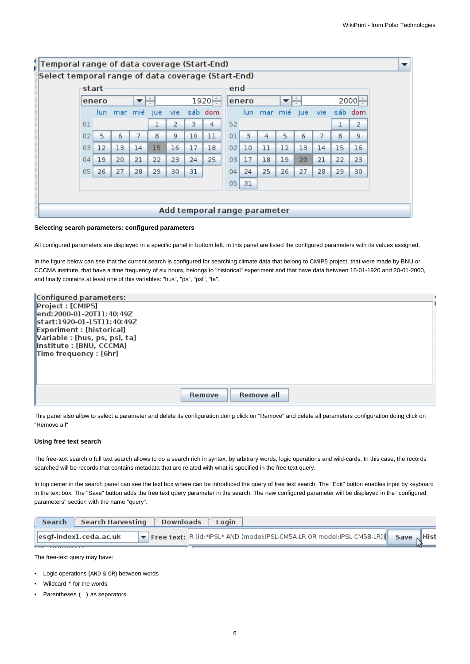| start<br>end<br>1920⊨<br>$2000 -$<br>enero<br>enero<br>$\overline{\phantom{a}}$<br>▼<br>sáb dom<br>mar mié<br>mar mié<br>sáb dom<br>vie.<br>vie:<br>jue<br>jue<br>lun.<br>lun.<br>52<br>ı<br>ı<br>2<br>з<br>4<br>01<br>5<br>10<br>5<br>7<br>8<br>9<br>11<br>8<br>02<br>6<br>з<br>6<br>7<br>01<br>4<br>15<br>17<br>02<br>15<br>$12 \overline{ }$<br>13<br>14<br>16<br>18<br>10<br>11<br>12<br>13<br>14<br>03 |  |  |  |  |  |  |  | Select temporal range of data coverage (Start-End) |  |  |  |  |                |  |  |  |  |
|-------------------------------------------------------------------------------------------------------------------------------------------------------------------------------------------------------------------------------------------------------------------------------------------------------------------------------------------------------------------------------------------------------------|--|--|--|--|--|--|--|----------------------------------------------------|--|--|--|--|----------------|--|--|--|--|
|                                                                                                                                                                                                                                                                                                                                                                                                             |  |  |  |  |  |  |  |                                                    |  |  |  |  |                |  |  |  |  |
|                                                                                                                                                                                                                                                                                                                                                                                                             |  |  |  |  |  |  |  |                                                    |  |  |  |  |                |  |  |  |  |
|                                                                                                                                                                                                                                                                                                                                                                                                             |  |  |  |  |  |  |  |                                                    |  |  |  |  |                |  |  |  |  |
|                                                                                                                                                                                                                                                                                                                                                                                                             |  |  |  |  |  |  |  |                                                    |  |  |  |  | $\overline{2}$ |  |  |  |  |
|                                                                                                                                                                                                                                                                                                                                                                                                             |  |  |  |  |  |  |  |                                                    |  |  |  |  | 9.             |  |  |  |  |
|                                                                                                                                                                                                                                                                                                                                                                                                             |  |  |  |  |  |  |  |                                                    |  |  |  |  | 16             |  |  |  |  |
| 25<br>19<br>20<br>21<br>22<br>24<br>17<br>18<br>21<br>22<br>23<br>03<br>19<br>20<br>04                                                                                                                                                                                                                                                                                                                      |  |  |  |  |  |  |  |                                                    |  |  |  |  | 23             |  |  |  |  |
| 26<br>27<br>25<br>26<br>05 <sub>1</sub><br>28<br>29<br>31<br>24<br>27<br>28<br>29<br>30<br>04                                                                                                                                                                                                                                                                                                               |  |  |  |  |  |  |  |                                                    |  |  |  |  | 30             |  |  |  |  |
| 31<br>05                                                                                                                                                                                                                                                                                                                                                                                                    |  |  |  |  |  |  |  |                                                    |  |  |  |  |                |  |  |  |  |

#### **Selecting search parameters: configured parameters**

All configured parameters are displayed in a specific panel in bottom left. In this panel are listed the configured parameters with its values assigned.

In the figure below can see that the current search is configured for searching climate data that belong to CMIP5 project, that were made by BNU or CCCMA institute, that have a time frequency of six hours, belongs to "historical" experiment and that have data between 15-01-1920 and 20-01-2000, and finally contains at least one of this variables: "hus", "ps", "psl", "ta".

| Configured parameters:             |                      |  |
|------------------------------------|----------------------|--|
| Project : [CMIP5]                  |                      |  |
| lend: 2000-01-20T11: 40: 49Z       |                      |  |
| start:1920-01-15T11:40:49Z         |                      |  |
| <b>Experiment : [historical]</b>   |                      |  |
| Variable : [hus, ps, psl, ta]      |                      |  |
| Institute : [BNU, CCCMA]           |                      |  |
| $\mathsf{Time\, frequency}:$ [6hr] |                      |  |
|                                    |                      |  |
|                                    |                      |  |
|                                    |                      |  |
|                                    |                      |  |
|                                    | Remove all<br>Remove |  |

This panel also allow to select a parameter and delete its configuration doing click on "Remove" and delete all parameters configuration doing click on "Remove all"

#### **Using free text search**

The free-text search o full text search allows to do a search rich in syntax, by arbitrary words, logic operations and wild-cards. In this case, the records searched will be records that contains metadata that are related with what is specified in the free text query.

In top center in the search panel can see the text box where can be introduced the query of free text search. The "Edit" button enables input by keyboard in the text box. The "Save" button adds the free text query parameter in the search. The new configured parameter will be displayed in the "configured parameters" section with the name "query".

| <b>Search</b> | Search Harvesting                                                                                   | Downloads Login                                                              |  |
|---------------|-----------------------------------------------------------------------------------------------------|------------------------------------------------------------------------------|--|
|               | $\left\  \mathsf{esgf\text{-}index1}. \mathsf{ceda}\text{-}\mathsf{ac}\text{-}\mathsf{uk} \right\ $ | Free text: R (id:*IPSL* AND (model:IPSL-CM5A-LR OR model:IPSL-CM5B-LR)) Save |  |

The free-text query may have:

- Logic operations (AND & OR) between words
- Wildcard \* for the words
- Parentheses ( ) as separators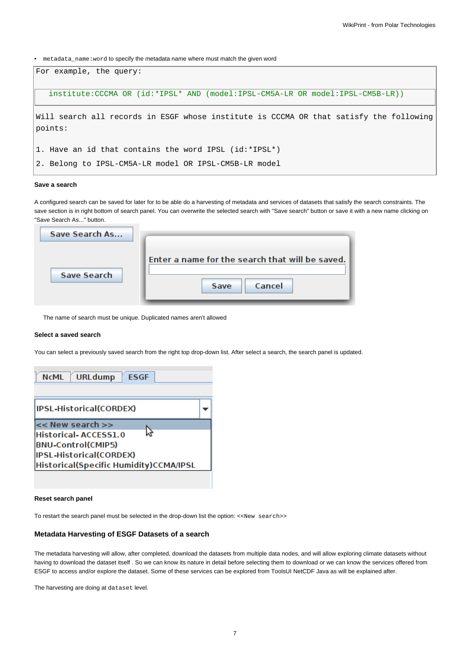• metadata\_name:word to specify the metadata name where must match the given word



## **Save a search**

A configured search can be saved for later for to be able do a harvesting of metadata and services of datasets that satisfy the search constraints. The save section is in right bottom of search panel. You can overwrite the selected search with "Save search" button or save it with a new name clicking on "Save Search As..." button.

| Save Search As     |                                                                   |
|--------------------|-------------------------------------------------------------------|
| <b>Save Search</b> | Enter a name for the search that will be saved.<br>Cancel<br>Save |

The name of search must be unique. Duplicated names aren't allowed

#### **Select a saved search**

You can select a previously saved search from the right top drop-down list. After select a search, the search panel is updated.

| URLdump <b>ESGF</b><br><b>NCML</b>                                                                                                                 |  |
|----------------------------------------------------------------------------------------------------------------------------------------------------|--|
| IPSL-Historical(CORDEX)                                                                                                                            |  |
| $\prec$ New search $\gt$<br>Historical-ACCESS1.0<br><b>BNU-Control(CMIP5)</b><br>IPSL-Historical(CORDEX)<br>Historical(Specific Humidity)CCMA/IPSL |  |

### **Reset search panel**

To restart the search panel must be selected in the drop-down list the option: <<New search>>

## **Metadata Harvesting of ESGF Datasets of a search**

The metadata harvesting will allow, after completed, download the datasets from multiple data nodes, and will allow exploring climate datasets without having to download the dataset itself . So we can know its nature in detail before selecting them to download or we can know the services offered from ESGF to access and/or explore the dataset. Some of these services can be explored from ToolsUI NetCDF Java as will be explained after.

The harvesting are doing at dataset level.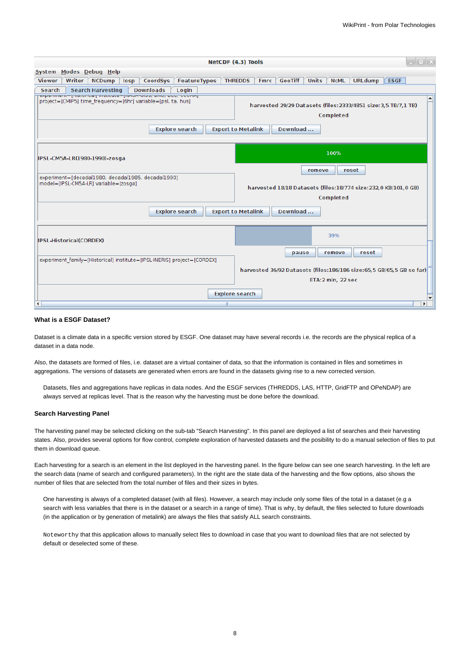|                                                                                                                                                            | $\mathbf{E}$ x<br>NetCDF (4.3) Tools                                                                                                    |
|------------------------------------------------------------------------------------------------------------------------------------------------------------|-----------------------------------------------------------------------------------------------------------------------------------------|
| System Modes Debug Help                                                                                                                                    |                                                                                                                                         |
| CoordSys<br><b>Viewer</b><br>Writer<br>losp<br>FeatureTypes<br><b>NCDump</b>                                                                               | <b>GeoTiff</b><br><b>Units</b><br><b>ESGF</b><br><b>THREDDS</b><br><b>NCML</b><br><b>URLdump</b><br><b>Fmrc</b>                         |
| Search<br><b>Search Harvesting</b><br><b>Downloads</b><br>Login                                                                                            |                                                                                                                                         |
| experiment= [mstoncar] institute= [ivAJA-0iJJ, pivo, pcc, cccmAj]<br>project=[CMIP5] time frequency=[6hr] variable=[psl, ta, hus]<br><b>Explore search</b> | $\hat{=}$<br>harvested 29/29 Datasets (files: 2333/4851 size: 3,5 TB/7,1 TB)<br>Completed<br><b>Export to Metalink</b><br>Download      |
| IPSL-CM5A-LR(1980-1990)-zosga                                                                                                                              | 100%                                                                                                                                    |
| experiment=[decadal1980, decadal1985, decadal1990]<br>model=[IPSL-CM5A-LR] variable=[zosga]<br><b>Explore search</b>                                       | reset<br>remove<br>harvested 18/18 Datasets (files:18/774 size:232,0 KB/101,0 GB)<br>Completed<br>Download<br><b>Export to Metalink</b> |
| IPSL-Historical(CORDEX)                                                                                                                                    | 39%                                                                                                                                     |
| experiment family=[Historical] institute=[IPSL-INERIS] project=[CORDEX]                                                                                    | pause<br>remove<br>reset<br>harvested 36/92 Datasets (files:186/186 size:65,5 GB/65,5 GB so far)<br>ETA:2 min, 22 sec                   |
| $\blacktriangleleft$<br>Ш                                                                                                                                  | <b>Explore search</b><br>ь                                                                                                              |

#### **What is a ESGF Dataset?**

Dataset is a climate data in a specific version stored by ESGF. One dataset may have several records i.e. the records are the physical replica of a dataset in a data node.

Also, the datasets are formed of files, i.e. dataset are a virtual container of data, so that the information is contained in files and sometimes in aggregations. The versions of datasets are generated when errors are found in the datasets giving rise to a new corrected version.

Datasets, files and aggregations have replicas in data nodes. And the ESGF services (THREDDS, LAS, HTTP, GridFTP and OPeNDAP) are always served at replicas level. That is the reason why the harvesting must be done before the download.

#### **Search Harvesting Panel**

The harvesting panel may be selected clicking on the sub-tab "Search Harvesting". In this panel are deployed a list of searches and their harvesting states. Also, provides several options for flow control, complete exploration of harvested datasets and the posibility to do a manual selection of files to put them in download queue.

Each harvesting for a search is an element in the list deployed in the harvesting panel. In the figure below can see one search harvesting. In the left are the search data (name of search and configured parameters). In the right are the state data of the harvesting and the flow options, also shows the number of files that are selected from the total number of files and their sizes in bytes.

One harvesting is always of a completed dataset (with all files). However, a search may include only some files of the total in a dataset (e.g a search with less variables that there is in the dataset or a search in a range of time). That is why, by default, the files selected to future downloads (in the application or by generation of metalink) are always the files that satisfy ALL search constraints.

Noteworthy that this application allows to manually select files to download in case that you want to download files that are not selected by default or deselected some of these.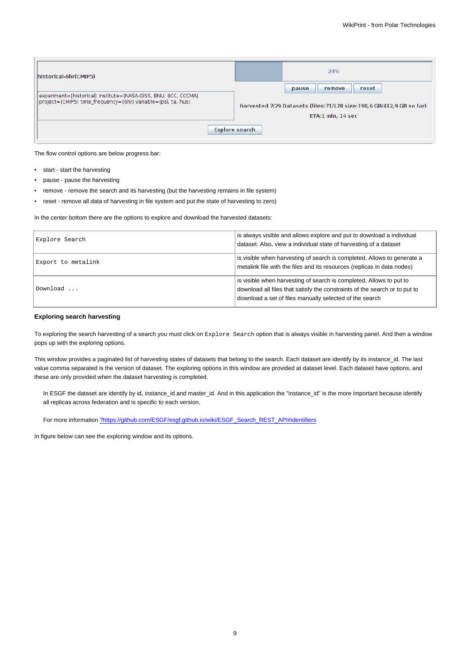| historical-6hr(CMIP5)                                                                                                          | 24%                                                                                           |
|--------------------------------------------------------------------------------------------------------------------------------|-----------------------------------------------------------------------------------------------|
|                                                                                                                                | reset<br>pause<br>remove                                                                      |
| experiment=[historical] institute=[NASA-GISS, BNU, BCC, CCCMA]<br>project=[CMIP5] time frequency=[6hr] variable=[psl, ta, hus] | harvested 7/29 Datasets (files: 71/128 size: 198, 6 GB/412, 9 GB so far)<br>ETA:1 min, 14 sec |
|                                                                                                                                | Explore search                                                                                |
|                                                                                                                                |                                                                                               |

The flow control options are below progress bar:

- start start the harvesting
- pause pause the harvesting
- remove remove the search and its harvesting (but the harvesting remains in file system)
- reset remove all data of harvesting in file system and put the state of harvesting to zero)

In the center bottom there are the options to explore and download the harvested datasets:

| Explore Search     | is always visible and allows explore and put to download a individual<br>dataset. Also, view a individual state of harvesting of a dataset                                                                   |
|--------------------|--------------------------------------------------------------------------------------------------------------------------------------------------------------------------------------------------------------|
| Export to metalink | is visible when harvesting of search is completed. Allows to generate a<br>metalink file with the files and its resources (replicas in data nodes)                                                           |
| Download           | is visible when harvesting of search is completed. Allows to put to<br>download all files that satisfy the constraints of the search or to put to<br>download a set of files manually selected of the search |

## **Exploring search harvesting**

To exploring the search harvesting of a search you must click on Explore Search option that is always visible in harvesting panel. And then a window pops up with the exploring options.

This window provides a paginated list of harvesting states of datasets that belong to the search. Each dataset are identify by its instance id. The last value comma separated is the version of dataset. The exploring options in this window are provided at dataset level. Each dataset have options, and these are only provided when the dataset harvesting is completed.

In ESGF the dataset are identify by id, instance\_id and master\_id. And in this application the "instance\_id" is the more important because identify all replicas across federation and is specific to each version.

For more information [?https://github.com/ESGF/esgf.github.io/wiki/ESGF\\_Search\\_REST\\_API#identifiers](https://github.com/ESGF/esgf.github.io/wiki/ESGF_Search_REST_API#identifiers)

In figure below can see the exploring window and its options.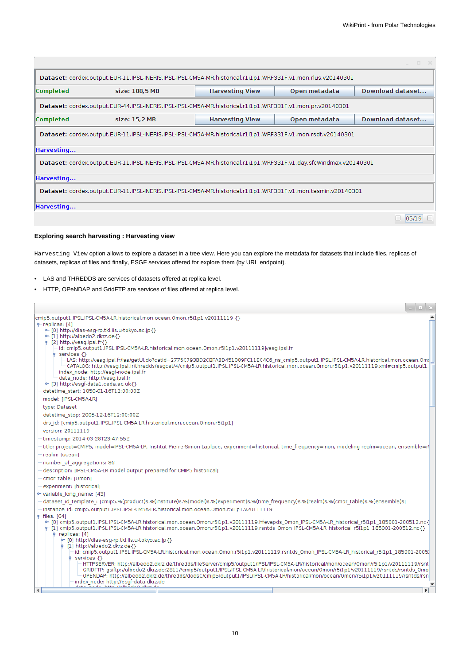|                                                                                                                   |                |                        |               | $\infty$         |  |  |  |  |
|-------------------------------------------------------------------------------------------------------------------|----------------|------------------------|---------------|------------------|--|--|--|--|
| Dataset: cordex.output.EUR-11.IPSL-INERIS.IPSL-IPSL-CM5A-MR.historical.r1i1p1.WRF331F.v1.mon.rlus.v20140301       |                |                        |               |                  |  |  |  |  |
| <b>Completed</b>                                                                                                  | size: 188,5 MB | <b>Harvesting View</b> | Open metadata | Download dataset |  |  |  |  |
| Dataset: cordex.output.EUR-44.IPSL-INERIS.IPSL-IPSL-CM5A-MR.historical.r1i1p1.WRF331F.v1.mon.pr.v20140301         |                |                        |               |                  |  |  |  |  |
| <b>Completed</b>                                                                                                  | size: 15.2 MB  | <b>Harvesting View</b> | Open metadata | Download dataset |  |  |  |  |
| Dataset: cordex.output.EUR-11.IPSL-INERIS.IPSL-IPSL-CM5A-MR.historical.r1i1p1.WRF331F.v1.mon.rsdt.v20140301       |                |                        |               |                  |  |  |  |  |
| Harvesting                                                                                                        |                |                        |               |                  |  |  |  |  |
| Dataset: cordex.output.EUR-11.IPSL-INERIS.IPSL-IPSL-CM5A-MR.historical.r1i1p1.WRF331F.v1.day.sfcWindmax.v20140301 |                |                        |               |                  |  |  |  |  |
| Harvesting                                                                                                        |                |                        |               |                  |  |  |  |  |
| Dataset: cordex.output.EUR-11.IPSL-INERIS.IPSL-IPSL-CM5A-MR.historical.r1i1p1.WRF331F.v1.mon.tasmin.v20140301     |                |                        |               |                  |  |  |  |  |
| Harvesting                                                                                                        |                |                        |               |                  |  |  |  |  |
|                                                                                                                   |                |                        |               | 05/19            |  |  |  |  |

# **Exploring search harvesting : Harvesting view**

Harvesting View option allows to explore a dataset in a tree view. Here you can explore the metadata for datasets that include files, replicas of datasets, replicas of files and finally, ESGF services offered for explore them (by URL endpoint).

- LAS and THREDDS are services of datasets offered at replica level.
- HTTP, OPeNDAP and GridFTP are services of files offered at replica level.

|                                                                                                                                                                                                                                                                                                                                                                                                                                                            | - II X       |  |
|------------------------------------------------------------------------------------------------------------------------------------------------------------------------------------------------------------------------------------------------------------------------------------------------------------------------------------------------------------------------------------------------------------------------------------------------------------|--------------|--|
| cmip5.output1.IPSL.IPSL-CM5A-LR.historical.mon.ocean.Omon.r5i1p1.v20111119 {}                                                                                                                                                                                                                                                                                                                                                                              |              |  |
| $\phi$ -replicas: [4]<br>• [0] http://dias-esq-rp.tkl.iis.u-tokyo.ac.jp {}                                                                                                                                                                                                                                                                                                                                                                                 |              |  |
| $\leftarrow$ [1] http://albedo2.dkrz.de{}                                                                                                                                                                                                                                                                                                                                                                                                                  |              |  |
| $\phi$ -[2] http://vesq.ipsl.fr{}<br>id: cmip5.output1.IPSL.IPSL-CM5A-LR.historical.mon.ocean.Omon.r5i1p1.v20111119/vesq.ipsl.fr                                                                                                                                                                                                                                                                                                                           |              |  |
| $\leftarrow$ services $\left\{ \right\}$<br>-LAS: http://vesq.ipsl.fr/las/qetUl.do?catid=2775C793BD2CBFA8D451089FC11EC4C6 ns cmip5.output1.IPSL.IPSL-CM5A-LR.historical.mon.ocean.Om(<br>- CATALOG: http://vesg.ipsl.fr/thredds/esgcet/4/cmip5.output1.IPSL.IPSL-CM5A-LR.historical.mon.ocean.Omon.r5i1p1.v20111119.xml#cmip5.output1.<br>- index node: http://esgf-node.ipsl.fr<br>data node: http://vesg.ipsl.fr<br>• [3] http://esqf-data1.ceda.ac.uk{} |              |  |
| datetime start: 1850-01-16T12:00:00Z                                                                                                                                                                                                                                                                                                                                                                                                                       |              |  |
| model: [IPSL-CM5A-LR]                                                                                                                                                                                                                                                                                                                                                                                                                                      |              |  |
| type: Dataset                                                                                                                                                                                                                                                                                                                                                                                                                                              |              |  |
| datetime stop: 2005-12-16T12:00:00Z                                                                                                                                                                                                                                                                                                                                                                                                                        |              |  |
| drs id: [cmip5.output1.IPSL.IPSL-CM5A-LR.historical.mon.ocean.Omon.r5i1p1]                                                                                                                                                                                                                                                                                                                                                                                 |              |  |
| version: 20111119                                                                                                                                                                                                                                                                                                                                                                                                                                          |              |  |
| timestamp: 2014-03-28T23:47:55Z                                                                                                                                                                                                                                                                                                                                                                                                                            |              |  |
| title: project=CMIP5, model=IPSL-CM5A-LR, Institut Pierre-Simon Laplace, experiment=historical, time frequency=mon, modeling realm=ocean, ensemble=r                                                                                                                                                                                                                                                                                                       |              |  |
| realm: Tocean1                                                                                                                                                                                                                                                                                                                                                                                                                                             |              |  |
| number of aggregations: 86                                                                                                                                                                                                                                                                                                                                                                                                                                 |              |  |
| description: [IPSL-CM5A-LR model output prepared for CMIP5 historical]                                                                                                                                                                                                                                                                                                                                                                                     |              |  |
| cmor table: [Omon]                                                                                                                                                                                                                                                                                                                                                                                                                                         |              |  |
| experiment: [historical]                                                                                                                                                                                                                                                                                                                                                                                                                                   |              |  |
| • variable long name: [43]                                                                                                                                                                                                                                                                                                                                                                                                                                 |              |  |
| dataset_id_template_: [cmip5.%(product)s.%(institute)s.%(model)s.%(experiment)s.%(time_frequency)s.%(realm)s.%(cmor_table)s.%(ensemble)s]                                                                                                                                                                                                                                                                                                                  |              |  |
| instance id: cmip5.output1.IPSL.IPSL-CM5A-LR.historical.mon.ocean.Omon.r5i1p1.v20111119                                                                                                                                                                                                                                                                                                                                                                    |              |  |
| $\div$ files: [64]<br>• [0] cmip5.output1.IPSL.IPSL-CM5A-LR.historical.mon.ocean.Omon.r5i1p1.v20111119.hfevapds Omon IPSL-CM5A-LR historical r5i1p1 185001-200512.nc {<br>†-{1} cmip5.output1.IPSL.IPSL-CM5A-LR.historical.mon.ocean.Omon.r5i1p1.v20111119.rsntds_Omon_IPSL-CM5A-LR_historical_r5i1p1_185001-200512.nc{}<br>$\phi$ -replicas: [4]<br>• [0] http://dias-esg-rp.tkl.iis.u-tokyo.ac.jp {}                                                     |              |  |
| $\leftarrow$ [1] http://albedo2.dkrz.de{}                                                                                                                                                                                                                                                                                                                                                                                                                  |              |  |
| id: cmip5.output1.IPSL.IPSL-CM5A-LR.historical.mon.ocean.Omon.r5i1p1.v20111119.rsntds Omon IPSL-CM5A-LR historical r5i1p1 185001-2005.                                                                                                                                                                                                                                                                                                                     |              |  |
| $9$ -services $\{\}$<br>HTTPSERVER: http://albedo2.dkrz.de/thredds/fileServer/cmip5/output1/IPSL/IPSL-CM5A-LR/historical/mon/ocean/Omon/r5i1p1/v20111119/rsnt<br>GRIDFTP: gsiftp://albedo2.dkrz.de:2811//cmip5/output1/IPSL/IPSL-CM5A-LR/historical/mon/ocean/Omon/r5i1p1/v20111119/rsntds/rsntds Omo<br>OPENDAP: http://albedo2.dkrz.de/thredds/dodsC/cmip5/output1/IPSL/IPSL-CM5A-LR/historical/mon/ocean/Omon/r5i1p1/v20111119/rsntds/rsn               |              |  |
| index node: http://esgf-data.dkrz.de                                                                                                                                                                                                                                                                                                                                                                                                                       |              |  |
| ∢                                                                                                                                                                                                                                                                                                                                                                                                                                                          | $\mathbf{r}$ |  |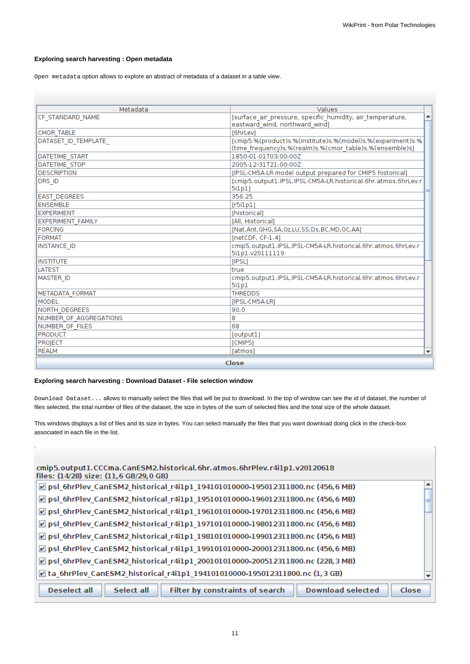# **Exploring search harvesting : Open metadata**

Open metadata option allows to explore an abstract of metadata of a dataset in a table view.

| Metadata                 | Values                                                                                                                  |  |
|--------------------------|-------------------------------------------------------------------------------------------------------------------------|--|
| CF STANDARD NAME         | [surface_air_pressure, specific_humidity, air_temperature,<br>eastward wind, northward wind)                            |  |
| CMOR TABLE               | [6hrLev]                                                                                                                |  |
| DATASET ID TEMPLATE      | [cmip5.%(product)s.%(institute)s.%(model)s.%(experiment)s.%<br>(time_frequency)s.%(realm)s.%(cmor_table)s.%(ensemble)s] |  |
| <b>DATETIME START</b>    | 1850-01-01T03:00:00Z                                                                                                    |  |
| <b>DATETIME STOP</b>     | 2005-12-31T21:00:00Z                                                                                                    |  |
| DESCRIPTION              | [IPSL-CM5A-LR model output prepared for CMIP5 historical]                                                               |  |
| DRS ID                   | [cmip5.output1.IPSL.IPSL-CM5A-LR.historical.6hr.atmos.6hrLev.r<br>5ilpl]                                                |  |
| <b>EAST DEGREES</b>      | 356.25                                                                                                                  |  |
| <b>ENSEMBLE</b>          | [r5i1p1]                                                                                                                |  |
| EXPERIMENT               | [historical]                                                                                                            |  |
| <b>EXPERIMENT FAMILY</b> | [All, Historical]                                                                                                       |  |
| <b>FORCING</b>           | [Nat,Ant,GHG,SA,Oz,LU,SS,Ds,BC,MD,OC,AA]                                                                                |  |
| <b>FORMAT</b>            | $[netCDF, CF-1.4]$                                                                                                      |  |
| INSTANCE ID              | cmip5.output1.iPSL.iPSL-CM5A-LR.historical.6hr.atmos.6hrLev.r<br>5ilp1.v20111119                                        |  |
| <b>INSTITUTE</b>         | [IPSL]                                                                                                                  |  |
| <b>LATEST</b>            | true                                                                                                                    |  |
| <b>MASTER ID</b>         | cmip5.output1.IPSL.IPSL-CM5A-LR.historical.6hr.atmos.6hrLev.r<br>5ilp1                                                  |  |
| METADATA FORMAT          | <b>THREDDS</b>                                                                                                          |  |
| MODEL                    | [IPSL-CM5A-LR]                                                                                                          |  |
| <b>NORTH DEGREES</b>     | 90.0                                                                                                                    |  |
| NUMBER OF AGGREGATIONS   | 8                                                                                                                       |  |
| INUMBER OF FILES         | 68                                                                                                                      |  |
| <b>PRODUCT</b>           | [output]                                                                                                                |  |
| PROJECT                  | [CMIP5]                                                                                                                 |  |
| <b>REALM</b>             | [atmos]                                                                                                                 |  |
| Close                    |                                                                                                                         |  |

#### **Exploring search harvesting : Download Dataset - File selection window**

Download Dataset... allows to manually select the files that will be put to download. In the top of window can see the id of dataset, the number of files selected, the total number of files of the dataset, the size in bytes of the sum of selected files and the total size of the whole dataset.

This windows displays a list of files and its size in bytes. You can select manually the files that you want download doing click in the check-box associated in each file in the list.

| cmip5.output1.CCCma.CanESM2.historical.6hr.atmos.6hrPlev.r4i1p1.v20120618<br>files: (14/28) size: (11,6 GB/29,0 GB) |       |
|---------------------------------------------------------------------------------------------------------------------|-------|
| D psl_6hrPlev_CanESM2_historical_r4i1p1_194101010000-195012311800.nc (456,6 MB)                                     |       |
| psl_6hrPlev_CanESM2_historical_r4i1p1_195101010000-196012311800.nc (456,6 MB)                                       |       |
| ☑ psl_6hrPlev_CanESM2_historical_r4i1p1_196101010000-197012311800.nc (456,6 MB)                                     |       |
| $\triangledown$ psl 6hrPlev CanESM2 historical r4i1p1 197101010000-198012311800.nc (456,6 MB)                       |       |
| ☑ psl_6hrPlev_CanESM2_historical_r4i1p1_198101010000-199012311800.nc (456,6 MB)                                     |       |
| ☑ psl_6hrPlev_CanESM2_historical_r4i1p1_199101010000-200012311800.nc (456,6 MB)                                     |       |
| ☑ psl_6hrPlev_CanESM2_historical_r4i1p1_200101010000-200512311800.nc (228,3 MB)                                     |       |
| $\angle$ ta_6hrPlev_CanESM2_historical_r4i1p1_194101010000-195012311800.nc (1,3 GB)                                 |       |
| Filter by constraints of search<br><b>Download selected</b><br><b>Deselect all</b><br>Select all                    | Close |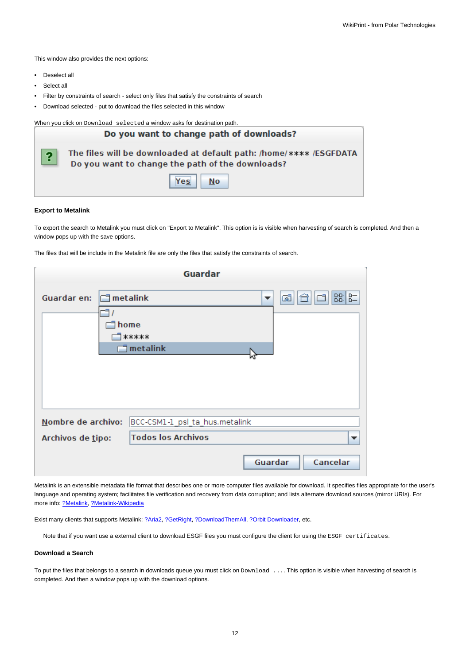This window also provides the next options:

- Deselect all
- Select all
- Filter by constraints of search select only files that satisfy the constraints of search
- Download selected put to download the files selected in this window

When you click on Download selected a window asks for destination path.

|                         | Do you want to change path of downloads?                                                                               |  |  |  |
|-------------------------|------------------------------------------------------------------------------------------------------------------------|--|--|--|
| $\overline{\mathbf{?}}$ | The files will be downloaded at default path: /home/**** /ESGFDATA<br>Do you want to change the path of the downloads? |  |  |  |
|                         | Yes<br>No                                                                                                              |  |  |  |

#### **Export to Metalink**

To export the search to Metalink you must click on "Export to Metalink". This option is is visible when harvesting of search is completed. And then a window pops up with the save options.

The files that will be include in the Metalink file are only the files that satisfy the constraints of search.

|                                  | <b>Guardar</b>                 |                     |  |
|----------------------------------|--------------------------------|---------------------|--|
| Guardar en:                      | $\Box$ metalink                | BB B=<br>ශ්<br>▼    |  |
| home<br>*****                    |                                |                     |  |
| $\overline{\mathbb{I}}$ metalink |                                |                     |  |
|                                  |                                |                     |  |
|                                  |                                |                     |  |
| Nombre de archivo:               | BCC-CSM1-1_psl_ta_hus.metalink |                     |  |
| Archivos de tipo:                | <b>Todos los Archivos</b>      |                     |  |
|                                  |                                | Guardar<br>Cancelar |  |

Metalink is an extensible metadata file format that describes one or more computer files available for download. It specifies files appropriate for the user's language and operating system; facilitates file verification and recovery from data corruption; and lists alternate download sources (mirror URIs). For more info: [?Metalink](http://www.metalinker.org), [?Metalink-Wikipedia](http://en.wikipedia.org/wiki/Metalink)

Exist many clients that supports Metalink: [?Aria2,](http://aria2.sourceforge.net/) [?GetRight,](http://www.getright.com/) [?DownloadThemAll,](http://www.downthemall.net/) [?Orbit Downloader,](http://www.orbitdownloader.com) etc.

Note that if you want use a external client to download ESGF files you must configure the client for using the ESGF certificates.

#### **Download a Search**

To put the files that belongs to a search in downloads queue you must click on Download .... This option is visible when harvesting of search is completed. And then a window pops up with the download options.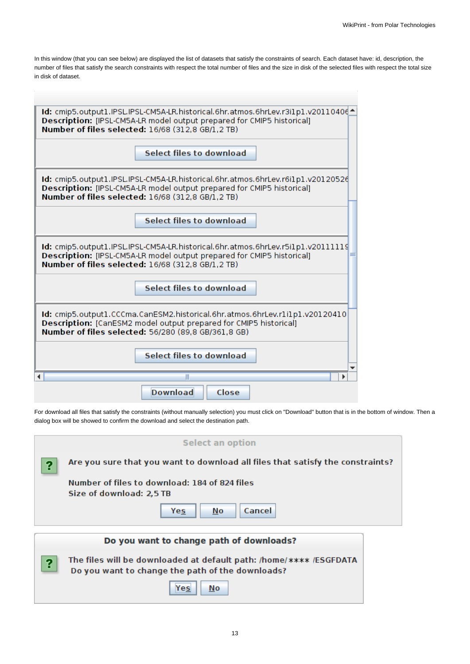In this window (that you can see below) are displayed the list of datasets that satisfy the constraints of search. Each dataset have: id, description, the number of files that satisfy the search constraints with respect the total number of files and the size in disk of the selected files with respect the total size in disk of dataset.

| 1d: cmip5.output1.IPSL.IPSL-CM5A-LR.historical.6hr.atmos.6hrLev.r3i1p1.v201104064<br>Description: [IPSL-CM5A-LR model output prepared for CMIP5 historical]<br>Number of files selected: 16/68 (312.8 GB/1.2 TB) |  |  |  |
|------------------------------------------------------------------------------------------------------------------------------------------------------------------------------------------------------------------|--|--|--|
| Select files to download                                                                                                                                                                                         |  |  |  |
| Id: cmip5.output1.IPSL.IPSL-CM5A-LR.historical.6hr.atmos.6hrLev.r6i1p1.v20120526<br>Description: [IPSL-CM5A-LR model output prepared for CMIP5 historical]<br>Number of files selected: 16/68 (312.8 GB/1.2 TB)  |  |  |  |
| Select files to download                                                                                                                                                                                         |  |  |  |
| Id: cmip5.output1.IPSL.IPSL-CM5A-LR.historical.6hr.atmos.6hrLev.r5i1p1.v20111119<br>Description: [IPSL-CM5A-LR model output prepared for CMIP5 historical]<br>Number of files selected: 16/68 (312.8 GB/1.2 TB)  |  |  |  |
| <b>Select files to download</b>                                                                                                                                                                                  |  |  |  |
| Id: cmip5.output1.CCCma.CanESM2.historical.6hr.atmos.6hrLev.r1i1p1.v20120410<br>Description: [CanESM2 model output prepared for CMIP5 historical]<br>Number of files selected: 56/280 (89.8 GB/361.8 GB)         |  |  |  |
| <b>Select files to download</b>                                                                                                                                                                                  |  |  |  |
|                                                                                                                                                                                                                  |  |  |  |
| <b>Download</b><br>Close                                                                                                                                                                                         |  |  |  |

For download all files that satisfy the constraints (without manually selection) you must click on "Download" button that is in the bottom of window. Then a dialog box will be showed to confirm the download and select the destination path.

|   | <b>Select an option</b>                                                                                                |  |
|---|------------------------------------------------------------------------------------------------------------------------|--|
| 9 | Are you sure that you want to download all files that satisfy the constraints?                                         |  |
|   | Number of files to download: 184 of 824 files<br>Size of download: 2,5 TB                                              |  |
|   | Cancel<br>No<br>Yes                                                                                                    |  |
|   | Do you want to change path of downloads?                                                                               |  |
| 9 | The files will be downloaded at default path: /home/**** /ESGFDATA<br>Do you want to change the path of the downloads? |  |
|   | No<br>Yes                                                                                                              |  |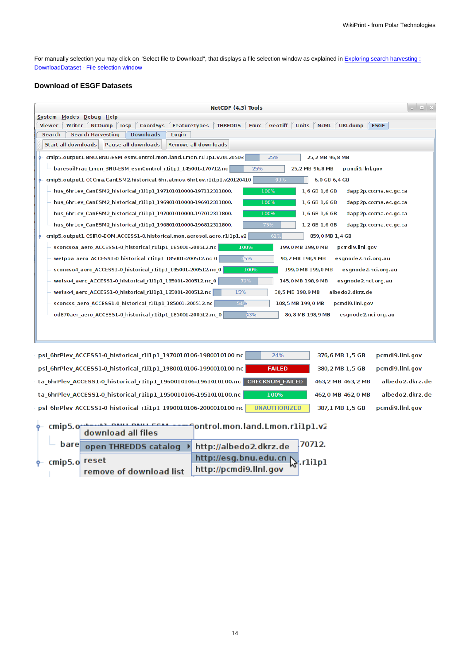For manually selection you may click on "Select file to Download", that displays a file selection window as explained in [Exploring search harvesting :](https://meteo.unican.es/trac/wiki/ESGFToolsUI_Manual#Exploringsearchharvesting:DownloadDataset-Fileselectionwindow) [DownloadDataset - File selection window](https://meteo.unican.es/trac/wiki/ESGFToolsUI_Manual#Exploringsearchharvesting:DownloadDataset-Fileselectionwindow)

# **Download of ESGF Datasets**

| $  \times$<br>NetCDF (4.3) Tools                                                                                                                                                         |  |  |  |  |  |
|------------------------------------------------------------------------------------------------------------------------------------------------------------------------------------------|--|--|--|--|--|
| System Modes Debug Help                                                                                                                                                                  |  |  |  |  |  |
| CoordSys<br><b>THREDDS</b><br><b>Fmrc</b><br><b>GeoTiff</b><br><b>Units</b><br><b>NCML</b><br><b>URLdump</b><br><b>ESGF</b><br>Writer<br><b>NCDump</b><br>losp<br>FeatureTypes<br>Viewer |  |  |  |  |  |
| <b>Search Harvesting</b><br><b>Downloads</b><br>Search<br>Login                                                                                                                          |  |  |  |  |  |
| <b>Start all downloads</b><br><b>Pause all downloads</b><br><b>Remove all downloads</b>                                                                                                  |  |  |  |  |  |
| cmip5.output1.BNU.BNU-ESM.esmControl.mon.land.Lmon.rli1p1.v20120503<br>25%<br>25, 2 MB 96, 8 MB                                                                                          |  |  |  |  |  |
| 25%<br>baresoilFrac Lmon BNU-ESM esmControl r1i1p1 145001-170712.nc<br>25, 2 MB 96, 8 MB<br>pcmdi9.llnl.gov                                                                              |  |  |  |  |  |
| cmip5.output1.CCCma.CanESM2.historical.6hr.atmos.6hrLev.r1i1p1.v20120410<br>93%<br>6,0 GB 6,4 GB                                                                                         |  |  |  |  |  |
| 100%<br>1,6 GB 1,6 GB<br>hus 6hrLev CanESM2 historical r1i1p1 197101010000-197112311800.<br>dapp2p.cccma.ec.gc.ca                                                                        |  |  |  |  |  |
| hus 6hrLev CanESM2 historical r1i1p1 196901010000-196912311800.<br>100%<br>1,6 GB 1,6 GB<br>dapp2p.cccma.ec.gc.ca                                                                        |  |  |  |  |  |
| hus 6hrLev CanESM2 historical r1i1p1 197001010000-197012311800.<br>100%<br>1,6 GB 1,6 GB<br>dapp2p.cccma.ec.gc.ca                                                                        |  |  |  |  |  |
| 73%<br>hus 6hrLev CanESM2 historical r1i1p1 196801010000-196812311800.<br>1,2 GB 1,6 GB<br>dapp2p.cccma.ec.gc.ca                                                                         |  |  |  |  |  |
| cmip5.output1.CSIRO-BOM.ACCESS1-0.historical.mon.aerosol.aero.r1i1p1.v2<br>$-61%$<br>859,0 MB 1,4 GB<br>ዯ                                                                                |  |  |  |  |  |
| 100%<br>199,0 MB 199,0 MB<br>pcmdi9.llnl.gov<br>sconcsoa aero ACCESS1-0 historical r1i1p1 185001-200512.nc                                                                               |  |  |  |  |  |
| wetpoa aero ACCESS1-0 historical r1i1p1 185001-200512.nc 0<br>45%<br>90, 2 MB 198, 9 MB<br>esgnode2.nci.org.au                                                                           |  |  |  |  |  |
| sconcso4_aero_ACCESS1-0_historical_r1i1p1_185001-200512.nc_0<br>100%<br>199,0 MB 199,0 MB<br>esgnode2.nci.org.au                                                                         |  |  |  |  |  |
| wetso4_aero_ACCESS1-0_historical_r1i1p1_185001-200512.nc_0<br>72%<br>145,0 MB 198,9 MB<br>esgnode2.nci.org.au                                                                            |  |  |  |  |  |
| 15%<br>wetso4_aero_ACCESS1-0_historical_r1i1p1_185001-200512.nc<br>30,5 MB 198,9 MB<br>albedo2.dkrz.de                                                                                   |  |  |  |  |  |
| 54%<br>pcmdi9.llnl.gov<br>sconcss_aero_ACCESS1-0_historical_r1i1p1_185001-200512.nc<br>108,5 MB 199,0 MB                                                                                 |  |  |  |  |  |
| 43%<br>od870aer_aero_ACCESS1-0_historical_r1i1p1_185001-200512.nc_0<br>86, 8 MB 198, 9 MB<br>esgnode2.nci.org.au                                                                         |  |  |  |  |  |
|                                                                                                                                                                                          |  |  |  |  |  |
|                                                                                                                                                                                          |  |  |  |  |  |
|                                                                                                                                                                                          |  |  |  |  |  |
| psl_6hrPlev_ACCESS1-0_historical_r1i1p1_1970010106-1980010100.nc<br>24%<br>376,6 MB 1,5 GB<br>pcmdi9.llnl.gov                                                                            |  |  |  |  |  |
| psl 6hrPlev ACCESS1-0 historical r1i1p1 1980010106-1990010100.nc<br><b>FAILED</b><br>380, 2 MB 1, 5 GB<br>pcmdi9.llnl.gov                                                                |  |  |  |  |  |
| <b>CHECKSUM FAILED</b><br>albedo2.dkrz.de<br>ta_6hrPlev_ACCESS1-0_historical_r1i1p1_1960010106-1961010100.nc<br>463, 2 MB 463, 2 MB                                                      |  |  |  |  |  |
| albedo2.dkrz.de<br>ta 6hrPlev ACCESS1-0 historical r1i1p1 1950010106-1951010100.nc<br>100%<br>462,0 MB 462,0 MB                                                                          |  |  |  |  |  |
| psl 6hrPlev ACCESS1-0 historical r1i1p1 1990010106-2000010100.nc<br><b>UNAUTHORIZED</b><br>387,1 MB 1,5 GB<br>pcmdi9.llnl.gov                                                            |  |  |  |  |  |
| cmip5.org/news/news/news/cease-megontrol.mon.land.Lmon.rli1p1.v2<br>download all files                                                                                                   |  |  |  |  |  |
| 70712<br>bare<br>sen TUDEDDE estaten. N. http://alberta? diver de                                                                                                                        |  |  |  |  |  |

|                              | $\overline{a}$ bare open THREDDS catalog $\rightarrow$ http://albedo2.dkrz.de 70712. |                               |  |
|------------------------------|--------------------------------------------------------------------------------------|-------------------------------|--|
| $\phi$ cmip5. $\sigma$ reset |                                                                                      | http://esg.bnu.edu.cn x.rlilp |  |
|                              | remove of download list http://pcmdi9.llnl.gov                                       |                               |  |